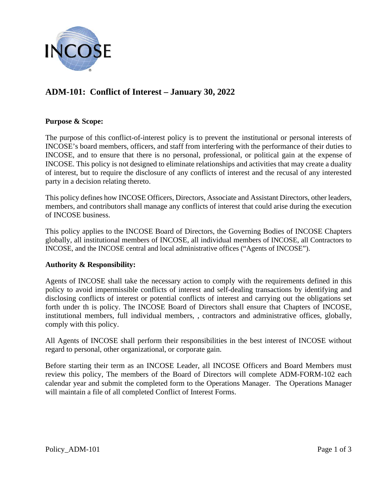

# **ADM-101: Conflict of Interest – January 30, 2022**

## **Purpose & Scope:**

The purpose of this conflict-of-interest policy is to prevent the institutional or personal interests of INCOSE's board members, officers, and staff from interfering with the performance of their duties to INCOSE, and to ensure that there is no personal, professional, or political gain at the expense of INCOSE. This policy is not designed to eliminate relationships and activities that may create a duality of interest, but to require the disclosure of any conflicts of interest and the recusal of any interested party in a decision relating thereto.

This policy defines how INCOSE Officers, Directors, Associate and Assistant Directors, other leaders, members, and contributors shall manage any conflicts of interest that could arise during the execution of INCOSE business.

This policy applies to the INCOSE Board of Directors, the Governing Bodies of INCOSE Chapters globally, all institutional members of INCOSE, all individual members of INCOSE, all Contractors to INCOSE, and the INCOSE central and local administrative offices ("Agents of INCOSE").

#### **Authority & Responsibility:**

Agents of INCOSE shall take the necessary action to comply with the requirements defined in this policy to avoid impermissible conflicts of interest and self-dealing transactions by identifying and disclosing conflicts of interest or potential conflicts of interest and carrying out the obligations set forth under th is policy. The INCOSE Board of Directors shall ensure that Chapters of INCOSE, institutional members, full individual members, , contractors and administrative offices, globally, comply with this policy.

All Agents of INCOSE shall perform their responsibilities in the best interest of INCOSE without regard to personal, other organizational, or corporate gain.

Before starting their term as an INCOSE Leader, all INCOSE Officers and Board Members must review this policy, The members of the Board of Directors will complete ADM-FORM-102 each calendar year and submit the completed form to the Operations Manager. The Operations Manager will maintain a file of all completed Conflict of Interest Forms.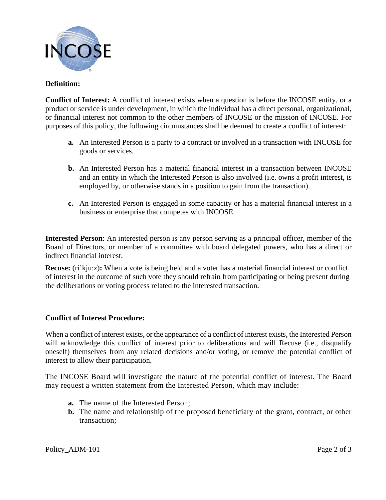

## **Definition:**

**Conflict of Interest:** A conflict of interest exists when a question is before the INCOSE entity, or a product or service is under development, in which the individual has a direct personal, organizational, or financial interest not common to the other members of INCOSE or the mission of INCOSE. For purposes of this policy, the following circumstances shall be deemed to create a conflict of interest:

- **a.** An Interested Person is a party to a contract or involved in a transaction with INCOSE for goods or services.
- **b.** An Interested Person has a material financial interest in a transaction between INCOSE and an entity in which the Interested Person is also involved (i.e. owns a profit interest, is employed by, or otherwise stands in a position to gain from the transaction).
- **c.** An Interested Person is engaged in some capacity or has a material financial interest in a business or enterprise that competes with INCOSE.

**Interested Person**: An interested person is any person serving as a principal officer, member of the Board of Directors, or member of a committee with board delegated powers, who has a direct or indirect financial interest.

**Recuse:** (ri'kju:z): When a vote is being held and a voter has a material financial interest or conflict of interest in the outcome of such vote they should refrain from participating or being present during the deliberations or voting process related to the interested transaction.

#### **Conflict of Interest Procedure:**

When a conflict of interest exists, or the appearance of a conflict of interest exists, the Interested Person will acknowledge this conflict of interest prior to deliberations and will Recuse (i.e., disqualify oneself) themselves from any related decisions and/or voting, or remove the potential conflict of interest to allow their participation.

The INCOSE Board will investigate the nature of the potential conflict of interest. The Board may request a written statement from the Interested Person, which may include:

- **a.** The name of the Interested Person;
- **b.** The name and relationship of the proposed beneficiary of the grant, contract, or other transaction;

Policy ADM-101 Page 2 of 3